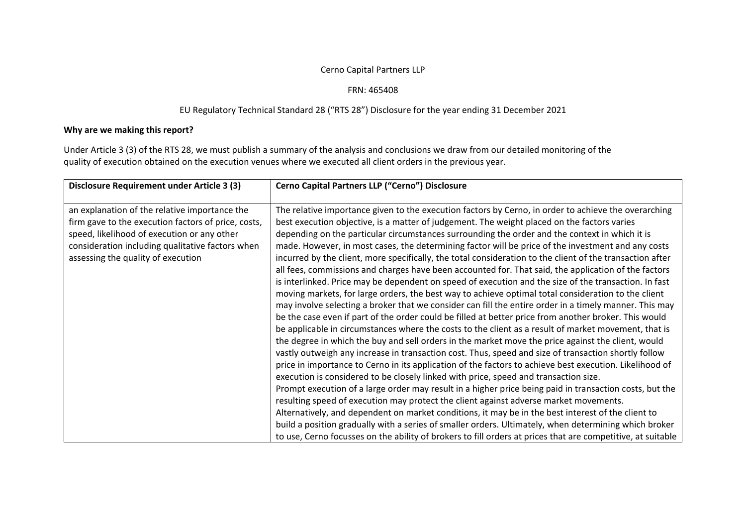## Cerno Capital Partners LLP

## FRN: 465408

## EU Regulatory Technical Standard 28 ("RTS 28") Disclosure for the year ending 31 December 2021

## **Why are we making this report?**

Under Article 3 (3) of the RTS 28, we must publish <sup>a</sup> summary of the analysis and conclusions we draw from our detailed monitoring of the quality of execution obtained on the execution venues where we executed all client orders in the previous year.

| <b>Disclosure Requirement under Article 3 (3)</b>                                                                                                                                                                                             | Cerno Capital Partners LLP ("Cerno") Disclosure                                                                                                                                                                                                                                                                                                                                                                                                                                                                                                                                                                                                                                                                                                                                                                                                                                                                                                                                                                                                                                                                                                                                                                                                                                                                                                                                                                                                                                                                                                                                                                                                                                                                                                                                                                                                                                                                                                                                                                                                                                                                                |
|-----------------------------------------------------------------------------------------------------------------------------------------------------------------------------------------------------------------------------------------------|--------------------------------------------------------------------------------------------------------------------------------------------------------------------------------------------------------------------------------------------------------------------------------------------------------------------------------------------------------------------------------------------------------------------------------------------------------------------------------------------------------------------------------------------------------------------------------------------------------------------------------------------------------------------------------------------------------------------------------------------------------------------------------------------------------------------------------------------------------------------------------------------------------------------------------------------------------------------------------------------------------------------------------------------------------------------------------------------------------------------------------------------------------------------------------------------------------------------------------------------------------------------------------------------------------------------------------------------------------------------------------------------------------------------------------------------------------------------------------------------------------------------------------------------------------------------------------------------------------------------------------------------------------------------------------------------------------------------------------------------------------------------------------------------------------------------------------------------------------------------------------------------------------------------------------------------------------------------------------------------------------------------------------------------------------------------------------------------------------------------------------|
| an explanation of the relative importance the<br>firm gave to the execution factors of price, costs,<br>speed, likelihood of execution or any other<br>consideration including qualitative factors when<br>assessing the quality of execution | The relative importance given to the execution factors by Cerno, in order to achieve the overarching<br>best execution objective, is a matter of judgement. The weight placed on the factors varies<br>depending on the particular circumstances surrounding the order and the context in which it is<br>made. However, in most cases, the determining factor will be price of the investment and any costs<br>incurred by the client, more specifically, the total consideration to the client of the transaction after<br>all fees, commissions and charges have been accounted for. That said, the application of the factors<br>is interlinked. Price may be dependent on speed of execution and the size of the transaction. In fast<br>moving markets, for large orders, the best way to achieve optimal total consideration to the client<br>may involve selecting a broker that we consider can fill the entire order in a timely manner. This may<br>be the case even if part of the order could be filled at better price from another broker. This would<br>be applicable in circumstances where the costs to the client as a result of market movement, that is<br>the degree in which the buy and sell orders in the market move the price against the client, would<br>vastly outweigh any increase in transaction cost. Thus, speed and size of transaction shortly follow<br>price in importance to Cerno in its application of the factors to achieve best execution. Likelihood of<br>execution is considered to be closely linked with price, speed and transaction size.<br>Prompt execution of a large order may result in a higher price being paid in transaction costs, but the<br>resulting speed of execution may protect the client against adverse market movements.<br>Alternatively, and dependent on market conditions, it may be in the best interest of the client to<br>build a position gradually with a series of smaller orders. Ultimately, when determining which broker<br>to use, Cerno focusses on the ability of brokers to fill orders at prices that are competitive, at suitable |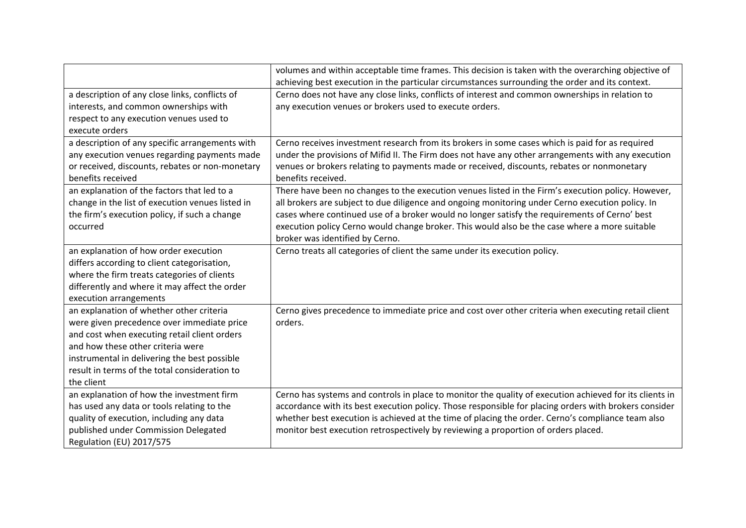|                                                  | volumes and within acceptable time frames. This decision is taken with the overarching objective of     |
|--------------------------------------------------|---------------------------------------------------------------------------------------------------------|
|                                                  | achieving best execution in the particular circumstances surrounding the order and its context.         |
| a description of any close links, conflicts of   | Cerno does not have any close links, conflicts of interest and common ownerships in relation to         |
| interests, and common ownerships with            | any execution venues or brokers used to execute orders.                                                 |
| respect to any execution venues used to          |                                                                                                         |
| execute orders                                   |                                                                                                         |
| a description of any specific arrangements with  | Cerno receives investment research from its brokers in some cases which is paid for as required         |
| any execution venues regarding payments made     | under the provisions of Mifid II. The Firm does not have any other arrangements with any execution      |
| or received, discounts, rebates or non-monetary  | venues or brokers relating to payments made or received, discounts, rebates or nonmonetary              |
| benefits received                                | benefits received.                                                                                      |
| an explanation of the factors that led to a      | There have been no changes to the execution venues listed in the Firm's execution policy. However,      |
| change in the list of execution venues listed in | all brokers are subject to due diligence and ongoing monitoring under Cerno execution policy. In        |
| the firm's execution policy, if such a change    | cases where continued use of a broker would no longer satisfy the requirements of Cerno' best           |
| occurred                                         | execution policy Cerno would change broker. This would also be the case where a more suitable           |
|                                                  | broker was identified by Cerno.                                                                         |
| an explanation of how order execution            | Cerno treats all categories of client the same under its execution policy.                              |
| differs according to client categorisation,      |                                                                                                         |
| where the firm treats categories of clients      |                                                                                                         |
| differently and where it may affect the order    |                                                                                                         |
| execution arrangements                           |                                                                                                         |
| an explanation of whether other criteria         | Cerno gives precedence to immediate price and cost over other criteria when executing retail client     |
| were given precedence over immediate price       | orders.                                                                                                 |
| and cost when executing retail client orders     |                                                                                                         |
| and how these other criteria were                |                                                                                                         |
| instrumental in delivering the best possible     |                                                                                                         |
| result in terms of the total consideration to    |                                                                                                         |
| the client                                       |                                                                                                         |
| an explanation of how the investment firm        | Cerno has systems and controls in place to monitor the quality of execution achieved for its clients in |
| has used any data or tools relating to the       | accordance with its best execution policy. Those responsible for placing orders with brokers consider   |
| quality of execution, including any data         | whether best execution is achieved at the time of placing the order. Cerno's compliance team also       |
| published under Commission Delegated             | monitor best execution retrospectively by reviewing a proportion of orders placed.                      |
| Regulation (EU) 2017/575                         |                                                                                                         |